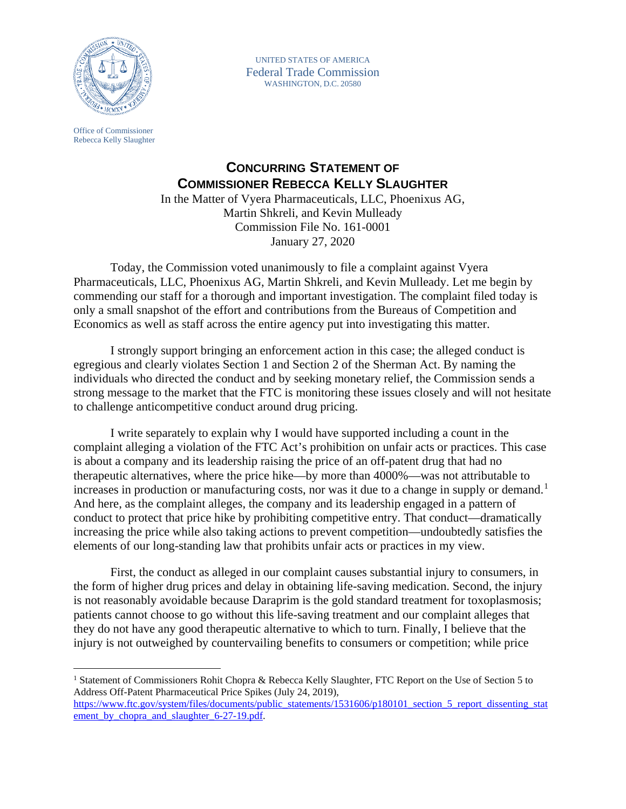

UNITED STATES OF AMERICA Federal Trade Commission WASHINGTON, D.C. 20580

Office of Commissioner Rebecca Kelly Slaughter

## **CONCURRING STATEMENT OF COMMISSIONER REBECCA KELLY SLAUGHTER**

In the Matter of Vyera Pharmaceuticals, LLC, Phoenixus AG, Martin Shkreli, and Kevin Mulleady Commission File No. 161-0001 January 27, 2020

Today, the Commission voted unanimously to file a complaint against Vyera Pharmaceuticals, LLC, Phoenixus AG, Martin Shkreli, and Kevin Mulleady. Let me begin by commending our staff for a thorough and important investigation. The complaint filed today is only a small snapshot of the effort and contributions from the Bureaus of Competition and Economics as well as staff across the entire agency put into investigating this matter.

I strongly support bringing an enforcement action in this case; the alleged conduct is egregious and clearly violates Section 1 and Section 2 of the Sherman Act. By naming the individuals who directed the conduct and by seeking monetary relief, the Commission sends a strong message to the market that the FTC is monitoring these issues closely and will not hesitate to challenge anticompetitive conduct around drug pricing.

I write separately to explain why I would have supported including a count in the complaint alleging a violation of the FTC Act's prohibition on unfair acts or practices. This case is about a company and its leadership raising the price of an off-patent drug that had no therapeutic alternatives, where the price hike—by more than 4000%—was not attributable to increases in production or manufacturing costs, nor was it due to a change in supply or demand.<sup>[1](#page-0-0)</sup> And here, as the complaint alleges, the company and its leadership engaged in a pattern of conduct to protect that price hike by prohibiting competitive entry. That conduct—dramatically increasing the price while also taking actions to prevent competition—undoubtedly satisfies the elements of our long-standing law that prohibits unfair acts or practices in my view.

First, the conduct as alleged in our complaint causes substantial injury to consumers, in the form of higher drug prices and delay in obtaining life-saving medication. Second, the injury is not reasonably avoidable because Daraprim is the gold standard treatment for toxoplasmosis; patients cannot choose to go without this life-saving treatment and our complaint alleges that they do not have any good therapeutic alternative to which to turn. Finally, I believe that the injury is not outweighed by countervailing benefits to consumers or competition; while price

<span id="page-0-0"></span><sup>&</sup>lt;sup>1</sup> Statement of Commissioners Rohit Chopra & Rebecca Kelly Slaughter, FTC Report on the Use of Section 5 to Address Off-Patent Pharmaceutical Price Spikes (July 24, 2019), [https://www.ftc.gov/system/files/documents/public\\_statements/1531606/p180101\\_section\\_5\\_report\\_dissenting\\_stat](https://www.ftc.gov/system/files/documents/public_statements/1531606/p180101_section_5_report_dissenting_statement_by_chopra_and_slaughter_6-27-19.pdf) [ement\\_by\\_chopra\\_and\\_slaughter\\_6-27-19.pdf.](https://www.ftc.gov/system/files/documents/public_statements/1531606/p180101_section_5_report_dissenting_statement_by_chopra_and_slaughter_6-27-19.pdf)